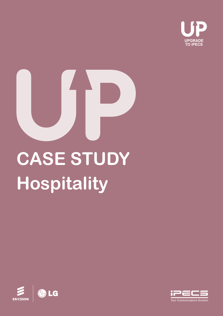

# **Hospitality CASE STUDY**



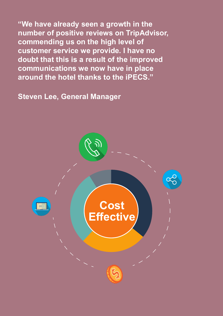**"We have already seen a growth in the number of positive reviews on TripAdvisor, commending us on the high level of customer service we provide. I have no doubt that this is a result of the improved communications we now have in place around the hotel thanks to the iPECS."** 

**Steven Lee, General Manager**

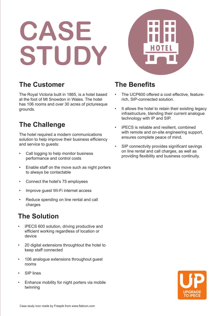# **CASE STUDY**



### **The Customer**

The Royal Victoria built in 1865, is a hotel based at the foot of Mt Snowdon in Wales. The hotel has 106 rooms and over 30 acres of picturesque grounds.

## **The Challenge**

The hotel required a modern communications solution to help improve their business efficiency and service to guests:

- Call logging to help monitor business performance and control costs
- Enable staff on the move such as night porters to always be contactable
- Connect the hotel's 75 employees
- Improve guest Wi-Fi internet access
- Reduce spending on line rental and call charges

# **The Solution**

- iPECS 600 solution, driving productive and efficient working regardless of location or device
- 20 digital extensions throughtout the hotel to keep staff connected
- 106 analogue extensions throughout quest rooms
- SIP lines
- Enhance mobility for night porters via mobile twinning

### **The Benefits**

- The UCP600 offered a cost effective, featurerich, SIP-connected solution.
- It allows the hotel to retain their existing legacy infrastructure, blending their current analogue technology with IP and SIP.
- iPECS is reliable and resilient, combined with remote and on-site engineering support. ensures complete peace of mind.
- SIP connectivity provides significant savings on line rental and call charges, as well as providing flexibility and business continuity.